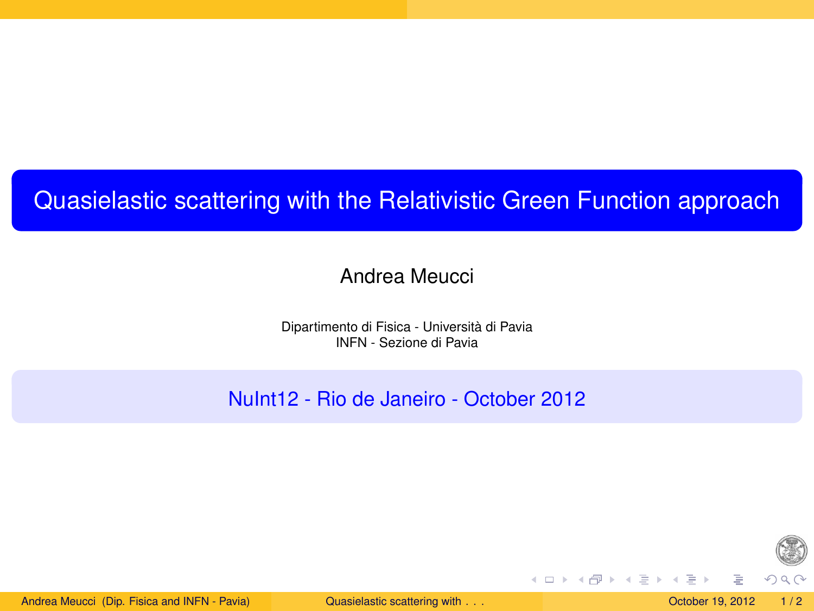## Quasielastic scattering with the Relativistic Green Function approach

## Andrea Meucci

Dipartimento di Fisica - Università di Pavia INFN - Sezione di Pavia

NuInt12 - Rio de Janeiro - October 2012

<span id="page-0-0"></span>

Andrea Meucci (Dip. Fisica and INFN - Pavia) [Quasielastic scattering with](#page-1-0) . . . Contract Contract 2012 1/2

イロト イ母 トイラト イラト